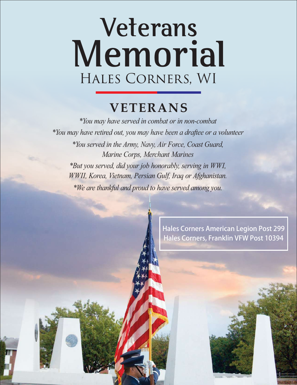## **Veterans**  Hales Corners, WI **Memorial**

## **VETERANS**

*\*You may have served in combat or in non-combat \*You may have retired out, you may have been a draftee or a volunteer \*You served in the Army, Navy, Air Force, Coast Guard, Marine Corps, Merchant Marines \*But you served, did your job honorably, serving in WWI, WWII, Korea, Vietnam, Persian Gulf, Iraq or Afghanistan. \*We are thankful and proud to have served among you.*

> Hales Corners American Legion Post 299 Hales Corners, Franklin VFW Post 10394